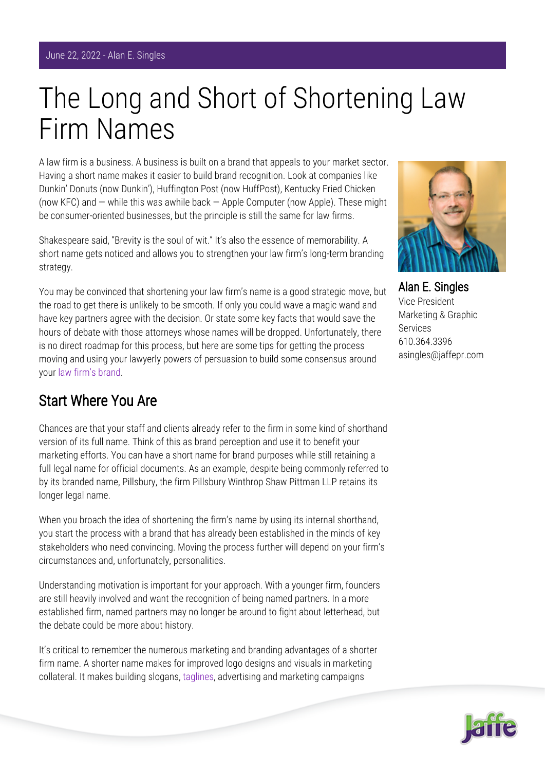## The Long and Short of Shortening Law Firm Names

A law firm is a business. A business is built on a brand that appeals to your market sector. Having a short name makes it easier to build brand recognition. Look at companies like Dunkin' Donuts (now Dunkin'), Huffington Post (now HuffPost), Kentucky Fried Chicken (now KFC) and — while this was awhile back — Apple Computer (now Apple). These might be consumer-oriented businesses, but the principle is still the same for law firms.

Shakespeare said, "Brevity is the soul of wit." It's also the essence of memorability. A short name gets noticed and allows you to strengthen your law firm's long-term branding strategy.

You may be convinced that shortening your law firm's name is a good strategic move, but the road to get there is unlikely to be smooth. If only you could wave a magic wand and have key partners agree with the decision. Or state some key facts that would save the hours of debate with those attorneys whose names will be dropped. Unfortunately, there is no direct roadmap for this process, but here are some tips for getting the process moving and using your lawyerly powers of persuasion to build some consensus around your [law firm's brand.](https://www.jaffepr.com/blog/law-firm-brand-management-go-beyond-new-logo)

## Start Where You Are

Chances are that your staff and clients already refer to the firm in some kind of shorthand version of its full name. Think of this as brand perception and use it to benefit your marketing efforts. You can have a short name for brand purposes while still retaining a full legal name for official documents. As an example, despite being commonly referred to by its branded name, Pillsbury, the firm Pillsbury Winthrop Shaw Pittman LLP retains its longer legal name.

When you broach the idea of shortening the firm's name by using its internal shorthand, you start the process with a brand that has already been established in the minds of key stakeholders who need convincing. Moving the process further will depend on your firm's circumstances and, unfortunately, personalities.

Understanding motivation is important for your approach. With a younger firm, founders are still heavily involved and want the recognition of being named partners. In a more established firm, named partners may no longer be around to fight about letterhead, but the debate could be more about history.

It's critical to remember the numerous marketing and branding advantages of a shorter firm name. A shorter name makes for improved logo designs and visuals in marketing collateral. It makes building slogans, [taglines,](https://www.jaffepr.com/insights/truth-about-law-firm-taglines) advertising and marketing campaigns



Alan E. Singles Vice President Marketing & Graphic Services 610.364.3396 asingles@jaffepr.com

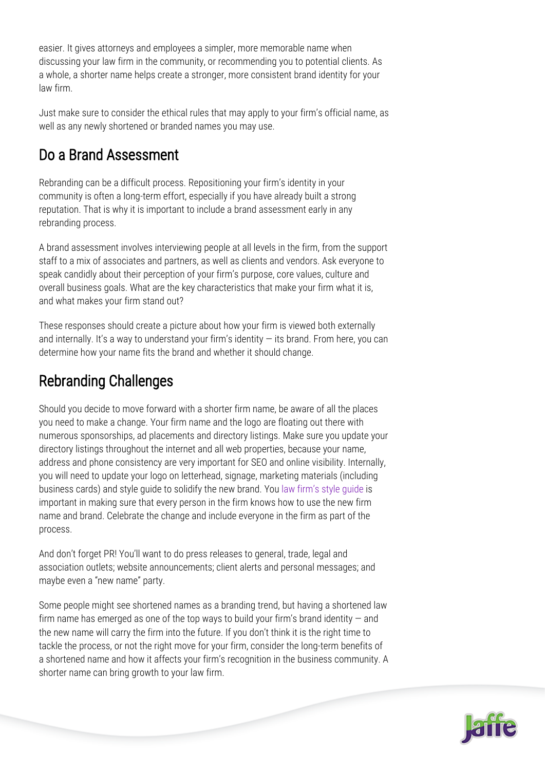easier. It gives attorneys and employees a simpler, more memorable name when discussing your law firm in the community, or recommending you to potential clients. As a whole, a shorter name helps create a stronger, more consistent brand identity for your law firm.

Just make sure to consider the ethical rules that may apply to your firm's official name, as well as any newly shortened or branded names you may use.

## Do a Brand Assessment

Rebranding can be a difficult process. Repositioning your firm's identity in your community is often a long-term effort, especially if you have already built a strong reputation. That is why it is important to include a brand assessment early in any rebranding process.

A brand assessment involves interviewing people at all levels in the firm, from the support staff to a mix of associates and partners, as well as clients and vendors. Ask everyone to speak candidly about their perception of your firm's purpose, core values, culture and overall business goals. What are the key characteristics that make your firm what it is, and what makes your firm stand out?

These responses should create a picture about how your firm is viewed both externally and internally. It's a way to understand your firm's identity  $-$  its brand. From here, you can determine how your name fits the brand and whether it should change.

## Rebranding Challenges

Should you decide to move forward with a shorter firm name, be aware of all the places you need to make a change. Your firm name and the logo are floating out there with numerous sponsorships, ad placements and directory listings. Make sure you update your directory listings throughout the internet and all web properties, because your name, address and phone consistency are very important for SEO and online visibility. Internally, you will need to update your logo on letterhead, signage, marketing materials (including business cards) and style guide to solidify the new brand. You [law firm's style guide](https://www.jaffepr.com/insights/create-consistency-law-firm-style-guides) is important in making sure that every person in the firm knows how to use the new firm name and brand. Celebrate the change and include everyone in the firm as part of the process.

And don't forget PR! You'll want to do press releases to general, trade, legal and association outlets; website announcements; client alerts and personal messages; and maybe even a "new name" party.

Some people might see shortened names as a branding trend, but having a shortened law firm name has emerged as one of the top ways to build your firm's brand identity  $-$  and the new name will carry the firm into the future. If you don't think it is the right time to tackle the process, or not the right move for your firm, consider the long-term benefits of a shortened name and how it affects your firm's recognition in the business community. A shorter name can bring growth to your law firm.